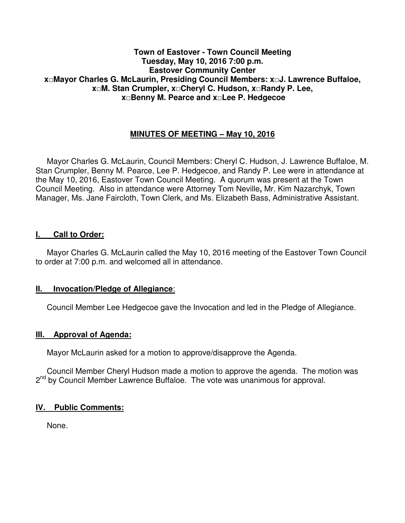#### **Town of Eastover - Town Council Meeting Tuesday, May 10, 2016 7:00 p.m. Eastover Community Center x□Mayor Charles G. McLaurin, Presiding Council Members: x□J. Lawrence Buffaloe, x□M. Stan Crumpler, x□Cheryl C. Hudson, x□Randy P. Lee, x□Benny M. Pearce and x□Lee P. Hedgecoe**

# **MINUTES OF MEETING – May 10, 2016**

 Mayor Charles G. McLaurin, Council Members: Cheryl C. Hudson, J. Lawrence Buffaloe, M. Stan Crumpler, Benny M. Pearce, Lee P. Hedgecoe, and Randy P. Lee were in attendance at the May 10, 2016, Eastover Town Council Meeting. A quorum was present at the Town Council Meeting. Also in attendance were Attorney Tom Neville**,** Mr. Kim Nazarchyk, Town Manager, Ms. Jane Faircloth, Town Clerk, and Ms. Elizabeth Bass, Administrative Assistant.

#### **I. Call to Order:**

 Mayor Charles G. McLaurin called the May 10, 2016 meeting of the Eastover Town Council to order at 7:00 p.m. and welcomed all in attendance.

#### **II. Invocation/Pledge of Allegiance**:

Council Member Lee Hedgecoe gave the Invocation and led in the Pledge of Allegiance.

#### **III. Approval of Agenda:**

Mayor McLaurin asked for a motion to approve/disapprove the Agenda.

 Council Member Cheryl Hudson made a motion to approve the agenda. The motion was 2<sup>nd</sup> by Council Member Lawrence Buffaloe. The vote was unanimous for approval.

#### **IV. Public Comments:**

None.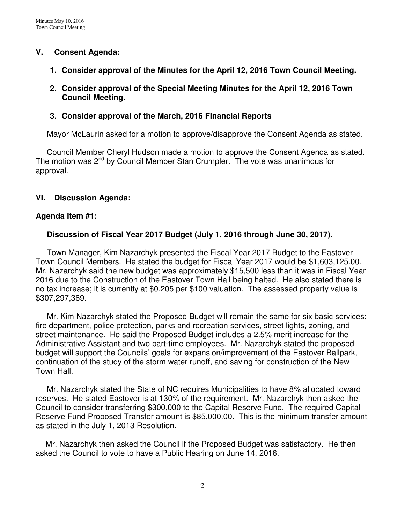## **V. Consent Agenda:**

- **1. Consider approval of the Minutes for the April 12, 2016 Town Council Meeting.**
- **2. Consider approval of the Special Meeting Minutes for the April 12, 2016 Town Council Meeting.**

## **3. Consider approval of the March, 2016 Financial Reports**

Mayor McLaurin asked for a motion to approve/disapprove the Consent Agenda as stated.

 Council Member Cheryl Hudson made a motion to approve the Consent Agenda as stated. The motion was 2<sup>nd</sup> by Council Member Stan Crumpler. The vote was unanimous for approval.

## **VI. Discussion Agenda:**

#### **Agenda Item #1:**

#### **Discussion of Fiscal Year 2017 Budget (July 1, 2016 through June 30, 2017).**

Town Manager, Kim Nazarchyk presented the Fiscal Year 2017 Budget to the Eastover Town Council Members. He stated the budget for Fiscal Year 2017 would be \$1,603,125.00. Mr. Nazarchyk said the new budget was approximately \$15,500 less than it was in Fiscal Year 2016 due to the Construction of the Eastover Town Hall being halted. He also stated there is no tax increase; it is currently at \$0.205 per \$100 valuation. The assessed property value is \$307,297,369.

 Mr. Kim Nazarchyk stated the Proposed Budget will remain the same for six basic services: fire department, police protection, parks and recreation services, street lights, zoning, and street maintenance. He said the Proposed Budget includes a 2.5% merit increase for the Administrative Assistant and two part-time employees. Mr. Nazarchyk stated the proposed budget will support the Councils' goals for expansion/improvement of the Eastover Ballpark, continuation of the study of the storm water runoff, and saving for construction of the New Town Hall.

 Mr. Nazarchyk stated the State of NC requires Municipalities to have 8% allocated toward reserves. He stated Eastover is at 130% of the requirement. Mr. Nazarchyk then asked the Council to consider transferring \$300,000 to the Capital Reserve Fund. The required Capital Reserve Fund Proposed Transfer amount is \$85,000.00. This is the minimum transfer amount as stated in the July 1, 2013 Resolution.

Mr. Nazarchyk then asked the Council if the Proposed Budget was satisfactory. He then asked the Council to vote to have a Public Hearing on June 14, 2016.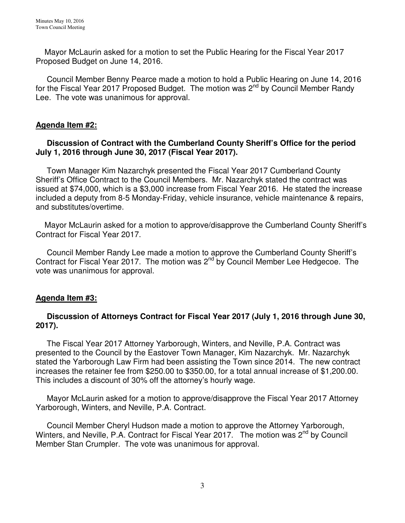Mayor McLaurin asked for a motion to set the Public Hearing for the Fiscal Year 2017 Proposed Budget on June 14, 2016.

 Council Member Benny Pearce made a motion to hold a Public Hearing on June 14, 2016 for the Fiscal Year 2017 Proposed Budget. The motion was 2<sup>nd</sup> by Council Member Randy Lee. The vote was unanimous for approval.

## **Agenda Item #2:**

## **Discussion of Contract with the Cumberland County Sheriff's Office for the period July 1, 2016 through June 30, 2017 (Fiscal Year 2017).**

 Town Manager Kim Nazarchyk presented the Fiscal Year 2017 Cumberland County Sheriff's Office Contract to the Council Members. Mr. Nazarchyk stated the contract was issued at \$74,000, which is a \$3,000 increase from Fiscal Year 2016. He stated the increase included a deputy from 8-5 Monday-Friday, vehicle insurance, vehicle maintenance & repairs, and substitutes/overtime.

 Mayor McLaurin asked for a motion to approve/disapprove the Cumberland County Sheriff's Contract for Fiscal Year 2017.

 Council Member Randy Lee made a motion to approve the Cumberland County Sheriff's Contract for Fiscal Year 2017. The motion was 2<sup>nd</sup> by Council Member Lee Hedgecoe. The vote was unanimous for approval.

## **Agenda Item #3:**

## **Discussion of Attorneys Contract for Fiscal Year 2017 (July 1, 2016 through June 30, 2017).**

The Fiscal Year 2017 Attorney Yarborough, Winters, and Neville, P.A. Contract was presented to the Council by the Eastover Town Manager, Kim Nazarchyk. Mr. Nazarchyk stated the Yarborough Law Firm had been assisting the Town since 2014. The new contract increases the retainer fee from \$250.00 to \$350.00, for a total annual increase of \$1,200.00. This includes a discount of 30% off the attorney's hourly wage.

 Mayor McLaurin asked for a motion to approve/disapprove the Fiscal Year 2017 Attorney Yarborough, Winters, and Neville, P.A. Contract.

 Council Member Cheryl Hudson made a motion to approve the Attorney Yarborough, Winters, and Neville, P.A. Contract for Fiscal Year 2017. The motion was 2<sup>nd</sup> by Council Member Stan Crumpler. The vote was unanimous for approval.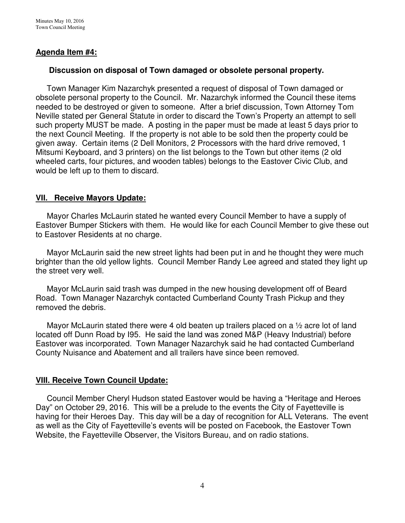## **Agenda Item #4:**

#### **Discussion on disposal of Town damaged or obsolete personal property.**

 Town Manager Kim Nazarchyk presented a request of disposal of Town damaged or obsolete personal property to the Council. Mr. Nazarchyk informed the Council these items needed to be destroyed or given to someone. After a brief discussion, Town Attorney Tom Neville stated per General Statute in order to discard the Town's Property an attempt to sell such property MUST be made. A posting in the paper must be made at least 5 days prior to the next Council Meeting. If the property is not able to be sold then the property could be given away. Certain items (2 Dell Monitors, 2 Processors with the hard drive removed, 1 Mitsumi Keyboard, and 3 printers) on the list belongs to the Town but other items (2 old wheeled carts, four pictures, and wooden tables) belongs to the Eastover Civic Club, and would be left up to them to discard.

## **VII. Receive Mayors Update:**

Mayor Charles McLaurin stated he wanted every Council Member to have a supply of Eastover Bumper Stickers with them. He would like for each Council Member to give these out to Eastover Residents at no charge.

 Mayor McLaurin said the new street lights had been put in and he thought they were much brighter than the old yellow lights. Council Member Randy Lee agreed and stated they light up the street very well.

 Mayor McLaurin said trash was dumped in the new housing development off of Beard Road. Town Manager Nazarchyk contacted Cumberland County Trash Pickup and they removed the debris.

Mayor McLaurin stated there were 4 old beaten up trailers placed on a 1/2 acre lot of land located off Dunn Road by I95. He said the land was zoned M&P (Heavy Industrial) before Eastover was incorporated. Town Manager Nazarchyk said he had contacted Cumberland County Nuisance and Abatement and all trailers have since been removed.

#### **VIII. Receive Town Council Update:**

 Council Member Cheryl Hudson stated Eastover would be having a "Heritage and Heroes Day" on October 29, 2016. This will be a prelude to the events the City of Fayetteville is having for their Heroes Day. This day will be a day of recognition for ALL Veterans. The event as well as the City of Fayetteville's events will be posted on Facebook, the Eastover Town Website, the Fayetteville Observer, the Visitors Bureau, and on radio stations.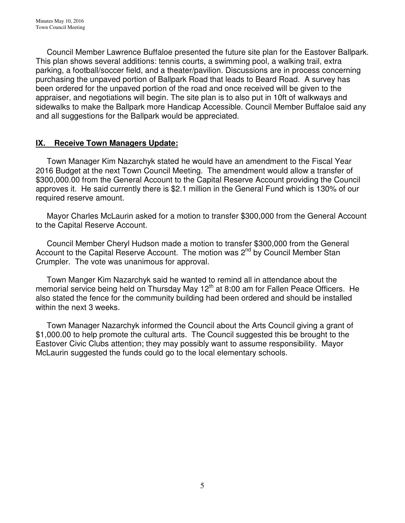Council Member Lawrence Buffaloe presented the future site plan for the Eastover Ballpark. This plan shows several additions: tennis courts, a swimming pool, a walking trail, extra parking, a football/soccer field, and a theater/pavilion. Discussions are in process concerning purchasing the unpaved portion of Ballpark Road that leads to Beard Road. A survey has been ordered for the unpaved portion of the road and once received will be given to the appraiser, and negotiations will begin. The site plan is to also put in 10ft of walkways and sidewalks to make the Ballpark more Handicap Accessible. Council Member Buffaloe said any and all suggestions for the Ballpark would be appreciated.

## **IX. Receive Town Managers Update:**

 Town Manager Kim Nazarchyk stated he would have an amendment to the Fiscal Year 2016 Budget at the next Town Council Meeting. The amendment would allow a transfer of \$300,000.00 from the General Account to the Capital Reserve Account providing the Council approves it. He said currently there is \$2.1 million in the General Fund which is 130% of our required reserve amount.

 Mayor Charles McLaurin asked for a motion to transfer \$300,000 from the General Account to the Capital Reserve Account.

 Council Member Cheryl Hudson made a motion to transfer \$300,000 from the General Account to the Capital Reserve Account. The motion was 2<sup>nd</sup> by Council Member Stan Crumpler. The vote was unanimous for approval.

 Town Manger Kim Nazarchyk said he wanted to remind all in attendance about the memorial service being held on Thursday May 12<sup>th</sup> at 8:00 am for Fallen Peace Officers. He also stated the fence for the community building had been ordered and should be installed within the next 3 weeks.

 Town Manager Nazarchyk informed the Council about the Arts Council giving a grant of \$1,000.00 to help promote the cultural arts. The Council suggested this be brought to the Eastover Civic Clubs attention; they may possibly want to assume responsibility. Mayor McLaurin suggested the funds could go to the local elementary schools.